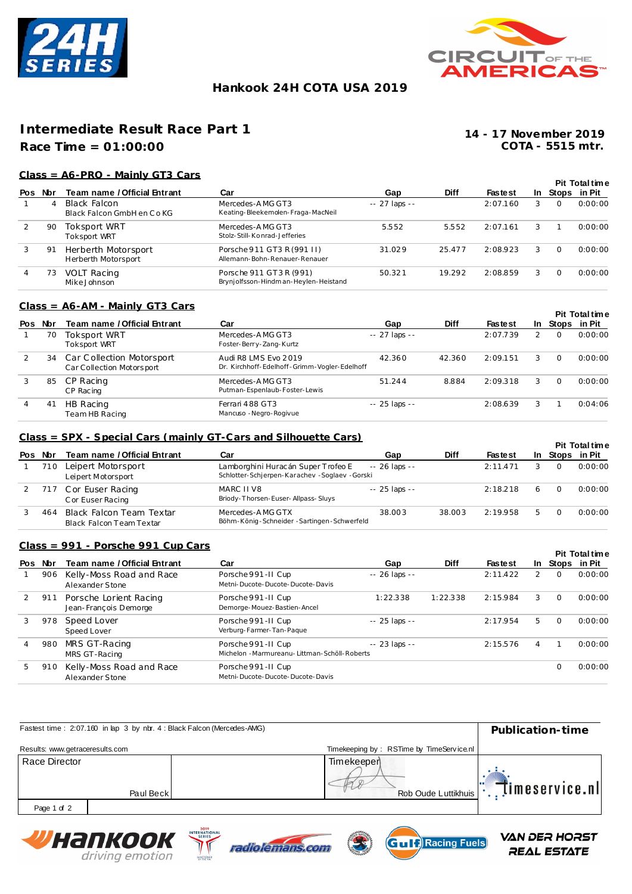



# **Hankook 24H COTA USA 2019**

# **Intermediate Result Race Part 1**

# **Race Time = 01:00:00**

**COTA - 5515 mtr. 14 - 17 November 2019**

### **Class = A6-PRO - Mainly GT3 Cars**

|                |     |                                            |                                                                |                |             |                |     |          | <b>Pit Total time</b> |
|----------------|-----|--------------------------------------------|----------------------------------------------------------------|----------------|-------------|----------------|-----|----------|-----------------------|
| Pos            | Nbr | Team name / Official Entrant               | Car                                                            | Gap            | <b>Diff</b> | <b>Fastest</b> | In. |          | Stops in Pit          |
|                | 4   | Black Falcon<br>Black Falcon GmbH en Co KG | Mercedes-AMG GT3<br>Keating-Bleekemolen-Fraga-MacNeil          | $-27$ laps $-$ |             | 2:07.160       | 3   | $\Omega$ | 0:00:00               |
| 2              | 90  | Toksport WRT<br><b>Toksport WRT</b>        | Mercedes-AMG GT3<br>Stolz-Still-Konrad-Jefferies               | 5.552          | 5.552       | 2:07.161       | 3   |          | 0:00:00               |
| 3              | 91  | Herberth Motorsport<br>Herberth Motorsport | Porsche 911 GT3 R (991 II)<br>Allemann-Bohn-Renauer-Renauer    | 31.029         | 25.477      | 2:08.923       | 3   | $\Omega$ | 0:00:00               |
| $\overline{4}$ | 73  | <b>VOLT Racing</b><br>Mike Johnson         | Porsche 911 GT3R (991)<br>Brynjolfsson-Hindman-Heylen-Heistand | 50.321         | 19.292      | 2:08.859       | 3   | $\Omega$ | 0:00:00               |

#### **Class = A6-AM - Mainly GT3 Cars**

|     |     |                                                        |                                                                      |                |             |                |     |              | <b>Pit Total time</b> |
|-----|-----|--------------------------------------------------------|----------------------------------------------------------------------|----------------|-------------|----------------|-----|--------------|-----------------------|
| Pos | Nbr | Team name / Official Entrant                           | Car                                                                  | Gap            | <b>Diff</b> | <b>Fastest</b> | -In | Stops in Pit |                       |
|     | 70  | Toksport WRT<br><b>Toksport WRT</b>                    | Mercedes-AMG GT3<br>Foster-Berry-Zang-Kurtz                          | $-27$ laps $-$ |             | 2:07.739       | 2   | $\Omega$     | 0:00:00               |
|     | 34  | Car Collection Motorsport<br>Car Collection Motorsport | Audi R8 LMS Evo 2019<br>Dr. Kirchhoff-Edelhoff-Grimm-Vogler-Edelhoff | 42.360         | 42.360      | 2:09.151       | 3   | $\Omega$     | 0:00:00               |
|     | 85  | CP Racing<br>CP Racing                                 | Mercedes-AMG GT3<br>Putman-Espenlaub-Foster-Lewis                    | 51.244         | 8.884       | 2:09.318       | 3   | $\Omega$     | 0:00:00               |
|     | 41  | HB Racing<br>Team HB Racing                            | Ferrari 488 GT3<br>Mancuso - Negro-Rogivue                           | $-25$ laps $-$ |             | 2:08.639       | 3   |              | 0:04:06               |

#### **Class = SPX - Special Cars (mainly GT-Cars and Silhouette Cars)**

|     |     |                                                      |                                                                                       |                |        |                |      |              | <b>Pit Total time</b> |
|-----|-----|------------------------------------------------------|---------------------------------------------------------------------------------------|----------------|--------|----------------|------|--------------|-----------------------|
| Pos | Nbr | Team name / Official Entrant                         | Car                                                                                   | Gap            | Diff   | <b>Fastest</b> | In . | Stops in Pit |                       |
|     | 710 | Leipert Motorsport<br>Leipert Motorsport             | Lamborghini Huracán Super Trofeo E<br>Schlotter-Schjerpen-Karachev - Soglaev - Gorski | $-26$ laps $-$ |        | 2:11.471       |      | $\Omega$     | 0:00:00               |
|     |     | 717 Cor Euser Racing<br>C or Euser Racing            | MARC II V8<br>Briody-Thorsen-Euser-Allpass-Sluys                                      | -- 25 laps --  |        | 2:18.218       | -6   | $\Omega$     | 0:00:00               |
|     | 464 | Black Falcon Team Textar<br>Black Falcon Team Textar | Mercedes-AMG GTX<br>Böhm-König-Schneider-Sartingen-Schwerfeld                         | 38.003         | 38.003 | 2:19.958       | 5.   |              | 0:00:00               |

#### **Class = 991 - Porsche 991 Cup Cars**

|     |     |                                                 |                                                                       |                |             |                |   |          | <b>Pit Total time</b> |
|-----|-----|-------------------------------------------------|-----------------------------------------------------------------------|----------------|-------------|----------------|---|----------|-----------------------|
| Pos | Nbr | Team name / Official Entrant                    | Car                                                                   | Gap            | <b>Diff</b> | <b>Fastest</b> |   |          | In Stops in Pit       |
|     | 906 | Kelly-Moss Road and Race<br>Alexander Stone     | Porsche 991-II Cup<br>Metni-Ducote-Ducote-Ducote-Davis                | $-26$ laps $-$ |             | 2:11.422       | 2 | $\Omega$ | 0:00:00               |
|     | 911 | Porsche Lorient Racing<br>Jean-François Demorge | Porsche 991 - II Cup<br>Demorge-Mouez-Bastien-Ancel                   | 1:22.338       | 1:22.338    | 2:15.984       | 3 | $\Omega$ | 0:00:00               |
|     | 978 | Speed Lover<br>Speed Lover                      | Porsche 991-II Cup<br>Verburg-Farmer-Tan-Pague                        | $-25$ laps $-$ |             | 2:17.954       | 5 | $\Omega$ | 0:00:00               |
|     | 980 | MRS GT-Racing<br>MRS GT-Racing                  | Porsche 991 - II Cup<br>Michelon - Marmureanu- Littman-Schöll-Roberts | $-23$ laps $-$ |             | 2:15.576       | 4 |          | 0:00:00               |
| 5   | 910 | Kelly-Moss Road and Race<br>Alexander Stone     | Porsche 991-II Cup<br>Metni-Ducote-Ducote-Ducote-Davis                |                |             |                |   | 0        | 0:00:00               |

| Fastest time: 2:07.160 in lap 3 by nbr. 4 : Black Falcon (Mercedes-AMG) | Publication-time                                                |
|-------------------------------------------------------------------------|-----------------------------------------------------------------|
| Results: www.getraceresults.com                                         | Timekeeping by: RSTime by TimeService.nl                        |
| Race Director<br>Paul Beck                                              | Timekeeper<br>$\mathbb{T}$ imeservice.nl<br>Rob Oude Luttikhuis |
| Page 1 of 2                                                             |                                                                 |
| 2019<br><b>INTERNATIONAL</b><br>Wuanwooy<br>SERIES _                    | VAN DER HORST                                                   |







**REAL ESTATE**